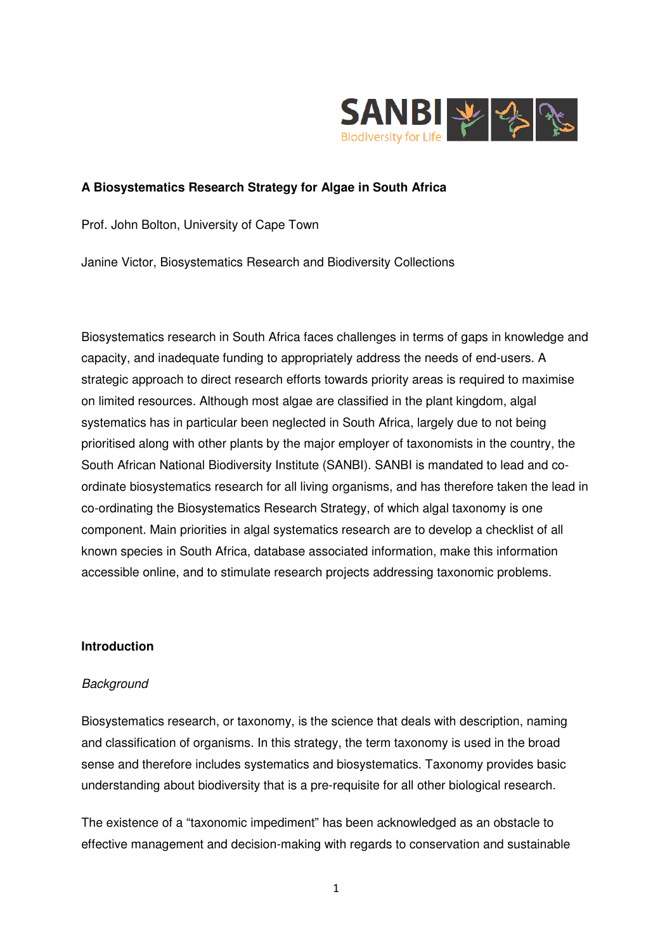

### **A Biosystematics Research Strategy for Algae in South Africa**

Prof. John Bolton, University of Cape Town

Janine Victor, Biosystematics Research and Biodiversity Collections

Biosystematics research in South Africa faces challenges in terms of gaps in knowledge and capacity, and inadequate funding to appropriately address the needs of end-users. A strategic approach to direct research efforts towards priority areas is required to maximise on limited resources. Although most algae are classified in the plant kingdom, algal systematics has in particular been neglected in South Africa, largely due to not being prioritised along with other plants by the major employer of taxonomists in the country, the South African National Biodiversity Institute (SANBI). SANBI is mandated to lead and coordinate biosystematics research for all living organisms, and has therefore taken the lead in co-ordinating the Biosystematics Research Strategy, of which algal taxonomy is one component. Main priorities in algal systematics research are to develop a checklist of all known species in South Africa, database associated information, make this information accessible online, and to stimulate research projects addressing taxonomic problems.

### **Introduction**

#### **Background**

Biosystematics research, or taxonomy, is the science that deals with description, naming and classification of organisms. In this strategy, the term taxonomy is used in the broad sense and therefore includes systematics and biosystematics. Taxonomy provides basic understanding about biodiversity that is a pre-requisite for all other biological research.

The existence of a "taxonomic impediment" has been acknowledged as an obstacle to effective management and decision-making with regards to conservation and sustainable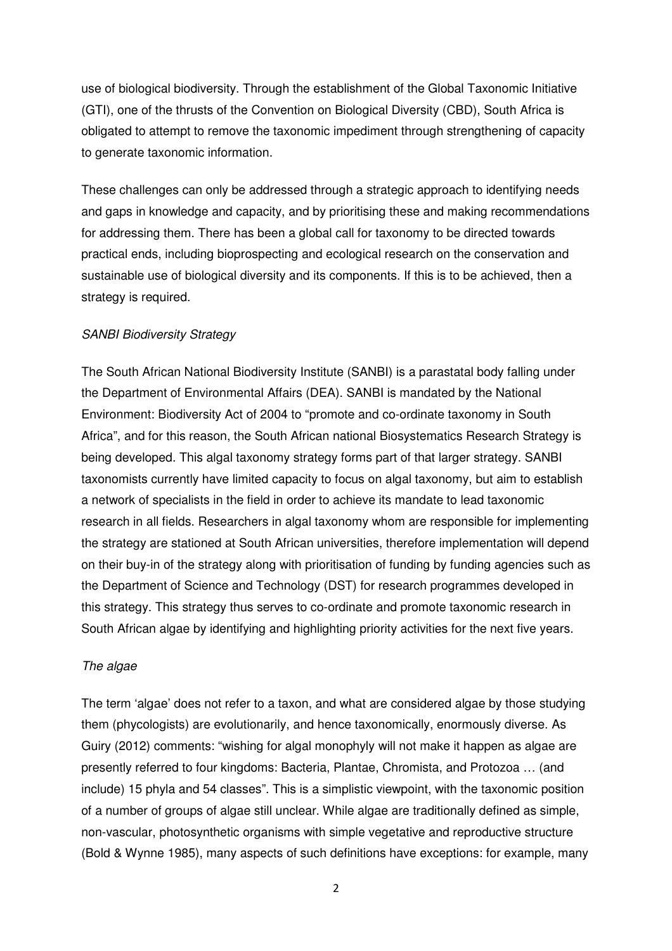use of biological biodiversity. Through the establishment of the Global Taxonomic Initiative (GTI), one of the thrusts of the Convention on Biological Diversity (CBD), South Africa is obligated to attempt to remove the taxonomic impediment through strengthening of capacity to generate taxonomic information.

These challenges can only be addressed through a strategic approach to identifying needs and gaps in knowledge and capacity, and by prioritising these and making recommendations for addressing them. There has been a global call for taxonomy to be directed towards practical ends, including bioprospecting and ecological research on the conservation and sustainable use of biological diversity and its components. If this is to be achieved, then a strategy is required.

#### SANBI Biodiversity Strategy

The South African National Biodiversity Institute (SANBI) is a parastatal body falling under the Department of Environmental Affairs (DEA). SANBI is mandated by the National Environment: Biodiversity Act of 2004 to "promote and co-ordinate taxonomy in South Africa", and for this reason, the South African national Biosystematics Research Strategy is being developed. This algal taxonomy strategy forms part of that larger strategy. SANBI taxonomists currently have limited capacity to focus on algal taxonomy, but aim to establish a network of specialists in the field in order to achieve its mandate to lead taxonomic research in all fields. Researchers in algal taxonomy whom are responsible for implementing the strategy are stationed at South African universities, therefore implementation will depend on their buy-in of the strategy along with prioritisation of funding by funding agencies such as the Department of Science and Technology (DST) for research programmes developed in this strategy. This strategy thus serves to co-ordinate and promote taxonomic research in South African algae by identifying and highlighting priority activities for the next five years.

#### The algae

The term 'algae' does not refer to a taxon, and what are considered algae by those studying them (phycologists) are evolutionarily, and hence taxonomically, enormously diverse. As Guiry (2012) comments: "wishing for algal monophyly will not make it happen as algae are presently referred to four kingdoms: Bacteria, Plantae, Chromista, and Protozoa … (and include) 15 phyla and 54 classes". This is a simplistic viewpoint, with the taxonomic position of a number of groups of algae still unclear. While algae are traditionally defined as simple, non-vascular, photosynthetic organisms with simple vegetative and reproductive structure (Bold & Wynne 1985), many aspects of such definitions have exceptions: for example, many

2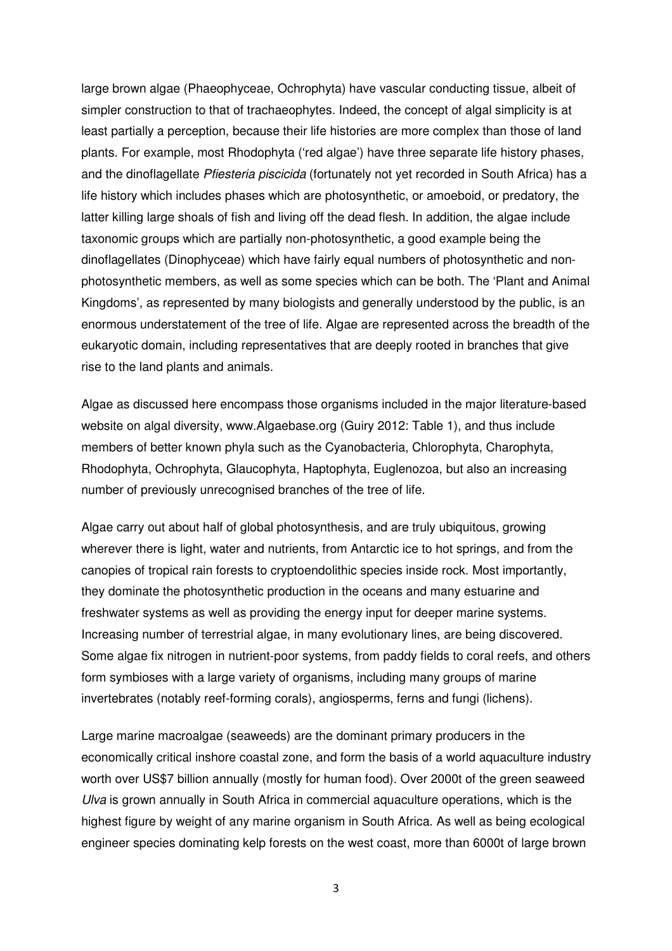large brown algae (Phaeophyceae, Ochrophyta) have vascular conducting tissue, albeit of simpler construction to that of trachaeophytes. Indeed, the concept of algal simplicity is at least partially a perception, because their life histories are more complex than those of land plants. For example, most Rhodophyta ('red algae') have three separate life history phases, and the dinoflagellate Pfiesteria piscicida (fortunately not yet recorded in South Africa) has a life history which includes phases which are photosynthetic, or amoeboid, or predatory, the latter killing large shoals of fish and living off the dead flesh. In addition, the algae include taxonomic groups which are partially non-photosynthetic, a good example being the dinoflagellates (Dinophyceae) which have fairly equal numbers of photosynthetic and nonphotosynthetic members, as well as some species which can be both. The 'Plant and Animal Kingdoms', as represented by many biologists and generally understood by the public, is an enormous understatement of the tree of life. Algae are represented across the breadth of the eukaryotic domain, including representatives that are deeply rooted in branches that give rise to the land plants and animals.

Algae as discussed here encompass those organisms included in the major literature-based website on algal diversity, www.Algaebase.org (Guiry 2012: Table 1), and thus include members of better known phyla such as the Cyanobacteria, Chlorophyta, Charophyta, Rhodophyta, Ochrophyta, Glaucophyta, Haptophyta, Euglenozoa, but also an increasing number of previously unrecognised branches of the tree of life.

Algae carry out about half of global photosynthesis, and are truly ubiquitous, growing wherever there is light, water and nutrients, from Antarctic ice to hot springs, and from the canopies of tropical rain forests to cryptoendolithic species inside rock. Most importantly, they dominate the photosynthetic production in the oceans and many estuarine and freshwater systems as well as providing the energy input for deeper marine systems. Increasing number of terrestrial algae, in many evolutionary lines, are being discovered. Some algae fix nitrogen in nutrient-poor systems, from paddy fields to coral reefs, and others form symbioses with a large variety of organisms, including many groups of marine invertebrates (notably reef-forming corals), angiosperms, ferns and fungi (lichens).

Large marine macroalgae (seaweeds) are the dominant primary producers in the economically critical inshore coastal zone, and form the basis of a world aquaculture industry worth over US\$7 billion annually (mostly for human food). Over 2000t of the green seaweed Ulva is grown annually in South Africa in commercial aquaculture operations, which is the highest figure by weight of any marine organism in South Africa. As well as being ecological engineer species dominating kelp forests on the west coast, more than 6000t of large brown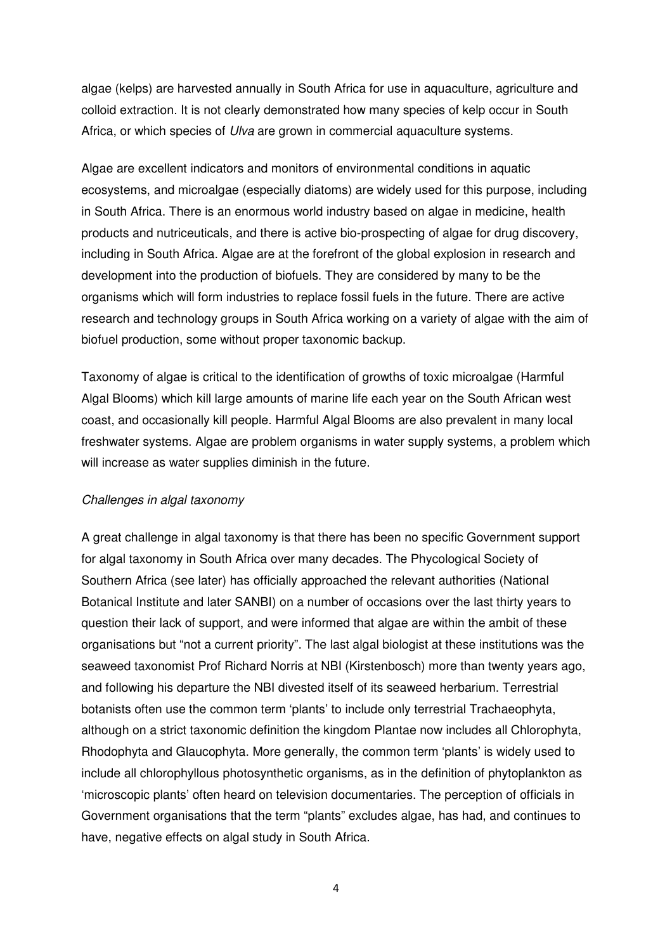algae (kelps) are harvested annually in South Africa for use in aquaculture, agriculture and colloid extraction. It is not clearly demonstrated how many species of kelp occur in South Africa, or which species of Ulva are grown in commercial aquaculture systems.

Algae are excellent indicators and monitors of environmental conditions in aquatic ecosystems, and microalgae (especially diatoms) are widely used for this purpose, including in South Africa. There is an enormous world industry based on algae in medicine, health products and nutriceuticals, and there is active bio-prospecting of algae for drug discovery, including in South Africa. Algae are at the forefront of the global explosion in research and development into the production of biofuels. They are considered by many to be the organisms which will form industries to replace fossil fuels in the future. There are active research and technology groups in South Africa working on a variety of algae with the aim of biofuel production, some without proper taxonomic backup.

Taxonomy of algae is critical to the identification of growths of toxic microalgae (Harmful Algal Blooms) which kill large amounts of marine life each year on the South African west coast, and occasionally kill people. Harmful Algal Blooms are also prevalent in many local freshwater systems. Algae are problem organisms in water supply systems, a problem which will increase as water supplies diminish in the future.

### Challenges in algal taxonomy

A great challenge in algal taxonomy is that there has been no specific Government support for algal taxonomy in South Africa over many decades. The Phycological Society of Southern Africa (see later) has officially approached the relevant authorities (National Botanical Institute and later SANBI) on a number of occasions over the last thirty years to question their lack of support, and were informed that algae are within the ambit of these organisations but "not a current priority". The last algal biologist at these institutions was the seaweed taxonomist Prof Richard Norris at NBI (Kirstenbosch) more than twenty years ago, and following his departure the NBI divested itself of its seaweed herbarium. Terrestrial botanists often use the common term 'plants' to include only terrestrial Trachaeophyta, although on a strict taxonomic definition the kingdom Plantae now includes all Chlorophyta, Rhodophyta and Glaucophyta. More generally, the common term 'plants' is widely used to include all chlorophyllous photosynthetic organisms, as in the definition of phytoplankton as 'microscopic plants' often heard on television documentaries. The perception of officials in Government organisations that the term "plants" excludes algae, has had, and continues to have, negative effects on algal study in South Africa.

4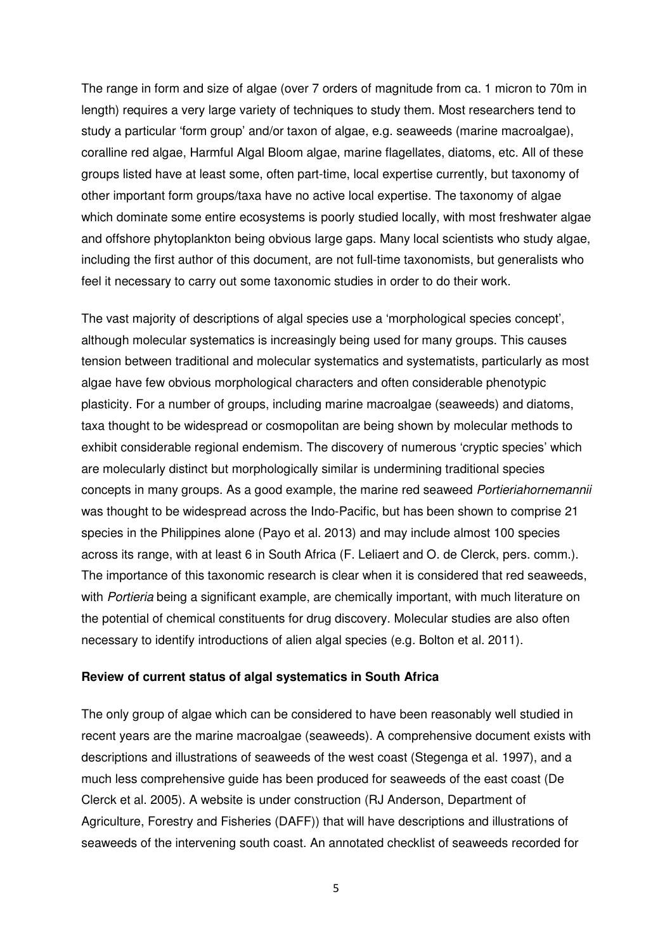The range in form and size of algae (over 7 orders of magnitude from ca. 1 micron to 70m in length) requires a very large variety of techniques to study them. Most researchers tend to study a particular 'form group' and/or taxon of algae, e.g. seaweeds (marine macroalgae), coralline red algae, Harmful Algal Bloom algae, marine flagellates, diatoms, etc. All of these groups listed have at least some, often part-time, local expertise currently, but taxonomy of other important form groups/taxa have no active local expertise. The taxonomy of algae which dominate some entire ecosystems is poorly studied locally, with most freshwater algae and offshore phytoplankton being obvious large gaps. Many local scientists who study algae, including the first author of this document, are not full-time taxonomists, but generalists who feel it necessary to carry out some taxonomic studies in order to do their work.

The vast majority of descriptions of algal species use a 'morphological species concept', although molecular systematics is increasingly being used for many groups. This causes tension between traditional and molecular systematics and systematists, particularly as most algae have few obvious morphological characters and often considerable phenotypic plasticity. For a number of groups, including marine macroalgae (seaweeds) and diatoms, taxa thought to be widespread or cosmopolitan are being shown by molecular methods to exhibit considerable regional endemism. The discovery of numerous 'cryptic species' which are molecularly distinct but morphologically similar is undermining traditional species concepts in many groups. As a good example, the marine red seaweed Portieriahornemannii was thought to be widespread across the Indo-Pacific, but has been shown to comprise 21 species in the Philippines alone (Payo et al. 2013) and may include almost 100 species across its range, with at least 6 in South Africa (F. Leliaert and O. de Clerck, pers. comm.). The importance of this taxonomic research is clear when it is considered that red seaweeds, with Portieria being a significant example, are chemically important, with much literature on the potential of chemical constituents for drug discovery. Molecular studies are also often necessary to identify introductions of alien algal species (e.g. Bolton et al. 2011).

#### **Review of current status of algal systematics in South Africa**

The only group of algae which can be considered to have been reasonably well studied in recent years are the marine macroalgae (seaweeds). A comprehensive document exists with descriptions and illustrations of seaweeds of the west coast (Stegenga et al. 1997), and a much less comprehensive guide has been produced for seaweeds of the east coast (De Clerck et al. 2005). A website is under construction (RJ Anderson, Department of Agriculture, Forestry and Fisheries (DAFF)) that will have descriptions and illustrations of seaweeds of the intervening south coast. An annotated checklist of seaweeds recorded for

5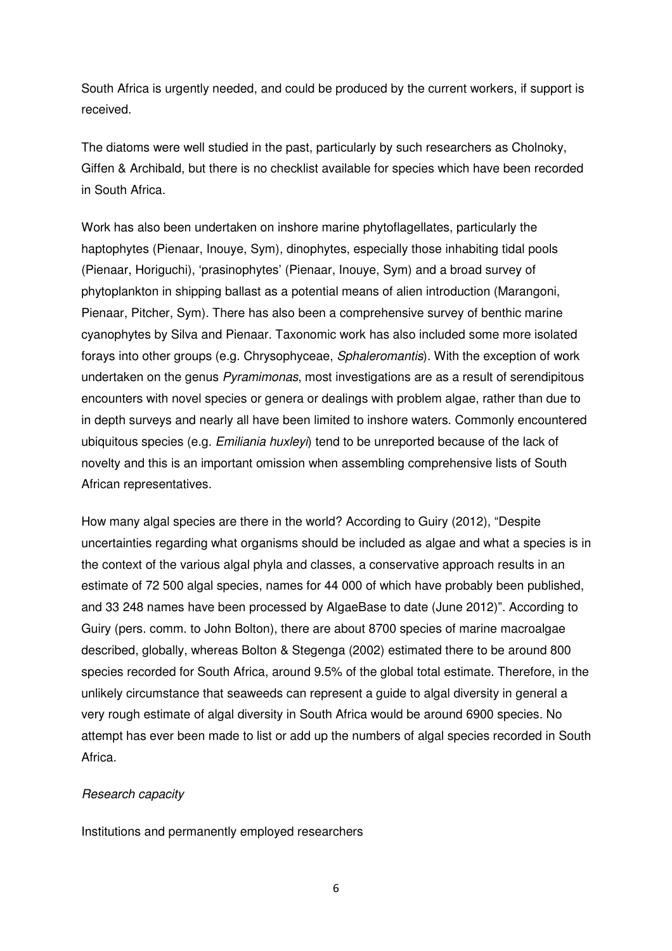South Africa is urgently needed, and could be produced by the current workers, if support is received.

The diatoms were well studied in the past, particularly by such researchers as Cholnoky, Giffen & Archibald, but there is no checklist available for species which have been recorded in South Africa.

Work has also been undertaken on inshore marine phytoflagellates, particularly the haptophytes (Pienaar, Inouye, Sym), dinophytes, especially those inhabiting tidal pools (Pienaar, Horiguchi), 'prasinophytes' (Pienaar, Inouye, Sym) and a broad survey of phytoplankton in shipping ballast as a potential means of alien introduction (Marangoni, Pienaar, Pitcher, Sym). There has also been a comprehensive survey of benthic marine cyanophytes by Silva and Pienaar. Taxonomic work has also included some more isolated forays into other groups (e.g. Chrysophyceae, Sphaleromantis). With the exception of work undertaken on the genus Pyramimonas, most investigations are as a result of serendipitous encounters with novel species or genera or dealings with problem algae, rather than due to in depth surveys and nearly all have been limited to inshore waters. Commonly encountered ubiquitous species (e.g. Emiliania huxleyi) tend to be unreported because of the lack of novelty and this is an important omission when assembling comprehensive lists of South African representatives.

How many algal species are there in the world? According to Guiry (2012), "Despite uncertainties regarding what organisms should be included as algae and what a species is in the context of the various algal phyla and classes, a conservative approach results in an estimate of 72 500 algal species, names for 44 000 of which have probably been published, and 33 248 names have been processed by AlgaeBase to date (June 2012)". According to Guiry (pers. comm. to John Bolton), there are about 8700 species of marine macroalgae described, globally, whereas Bolton & Stegenga (2002) estimated there to be around 800 species recorded for South Africa, around 9.5% of the global total estimate. Therefore, in the unlikely circumstance that seaweeds can represent a guide to algal diversity in general a very rough estimate of algal diversity in South Africa would be around 6900 species. No attempt has ever been made to list or add up the numbers of algal species recorded in South Africa.

### Research capacity

Institutions and permanently employed researchers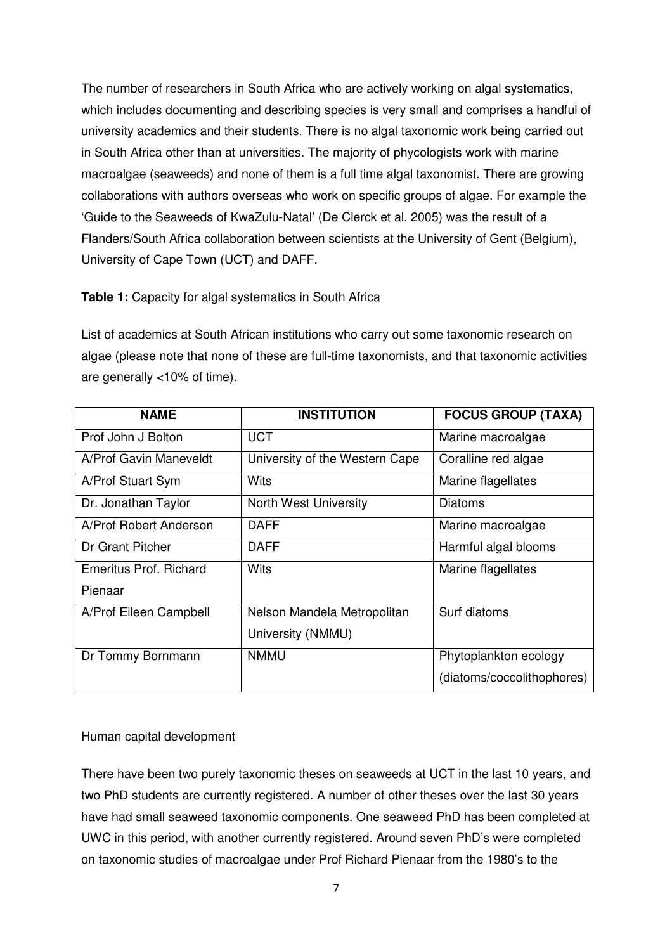The number of researchers in South Africa who are actively working on algal systematics, which includes documenting and describing species is very small and comprises a handful of university academics and their students. There is no algal taxonomic work being carried out in South Africa other than at universities. The majority of phycologists work with marine macroalgae (seaweeds) and none of them is a full time algal taxonomist. There are growing collaborations with authors overseas who work on specific groups of algae. For example the 'Guide to the Seaweeds of KwaZulu-Natal' (De Clerck et al. 2005) was the result of a Flanders/South Africa collaboration between scientists at the University of Gent (Belgium), University of Cape Town (UCT) and DAFF.

### **Table 1:** Capacity for algal systematics in South Africa

List of academics at South African institutions who carry out some taxonomic research on algae (please note that none of these are full-time taxonomists, and that taxonomic activities are generally <10% of time).

| <b>NAME</b>            | <b>INSTITUTION</b>             | <b>FOCUS GROUP (TAXA)</b>  |
|------------------------|--------------------------------|----------------------------|
| Prof John J Bolton     | <b>UCT</b>                     | Marine macroalgae          |
| A/Prof Gavin Maneveldt | University of the Western Cape | Coralline red algae        |
| A/Prof Stuart Sym      | <b>Wits</b>                    | Marine flagellates         |
| Dr. Jonathan Taylor    | <b>North West University</b>   | Diatoms                    |
| A/Prof Robert Anderson | <b>DAFF</b>                    | Marine macroalgae          |
| Dr Grant Pitcher       | <b>DAFF</b>                    | Harmful algal blooms       |
| Emeritus Prof. Richard | <b>Wits</b>                    | Marine flagellates         |
| Pienaar                |                                |                            |
| A/Prof Eileen Campbell | Nelson Mandela Metropolitan    | Surf diatoms               |
|                        | University (NMMU)              |                            |
| Dr Tommy Bornmann      | <b>NMMU</b>                    | Phytoplankton ecology      |
|                        |                                | (diatoms/coccolithophores) |

## Human capital development

There have been two purely taxonomic theses on seaweeds at UCT in the last 10 years, and two PhD students are currently registered. A number of other theses over the last 30 years have had small seaweed taxonomic components. One seaweed PhD has been completed at UWC in this period, with another currently registered. Around seven PhD's were completed on taxonomic studies of macroalgae under Prof Richard Pienaar from the 1980's to the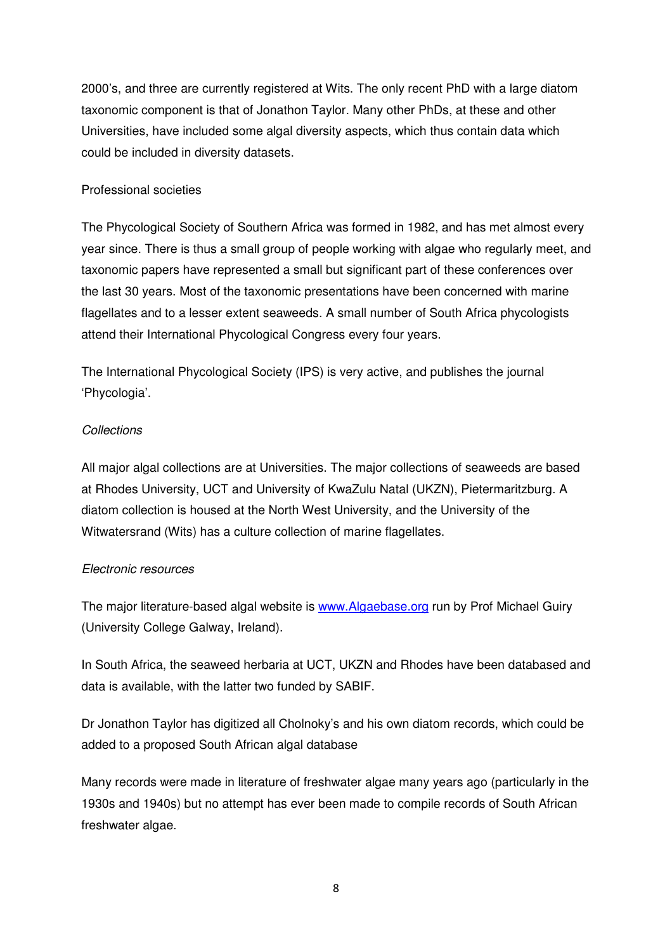2000's, and three are currently registered at Wits. The only recent PhD with a large diatom taxonomic component is that of Jonathon Taylor. Many other PhDs, at these and other Universities, have included some algal diversity aspects, which thus contain data which could be included in diversity datasets.

## Professional societies

The Phycological Society of Southern Africa was formed in 1982, and has met almost every year since. There is thus a small group of people working with algae who regularly meet, and taxonomic papers have represented a small but significant part of these conferences over the last 30 years. Most of the taxonomic presentations have been concerned with marine flagellates and to a lesser extent seaweeds. A small number of South Africa phycologists attend their International Phycological Congress every four years.

The International Phycological Society (IPS) is very active, and publishes the journal 'Phycologia'.

# **Collections**

All major algal collections are at Universities. The major collections of seaweeds are based at Rhodes University, UCT and University of KwaZulu Natal (UKZN), Pietermaritzburg. A diatom collection is housed at the North West University, and the University of the Witwatersrand (Wits) has a culture collection of marine flagellates.

## Electronic resources

The major literature-based algal website is www.Algaebase.org run by Prof Michael Guiry (University College Galway, Ireland).

In South Africa, the seaweed herbaria at UCT, UKZN and Rhodes have been databased and data is available, with the latter two funded by SABIF.

Dr Jonathon Taylor has digitized all Cholnoky's and his own diatom records, which could be added to a proposed South African algal database

Many records were made in literature of freshwater algae many years ago (particularly in the 1930s and 1940s) but no attempt has ever been made to compile records of South African freshwater algae.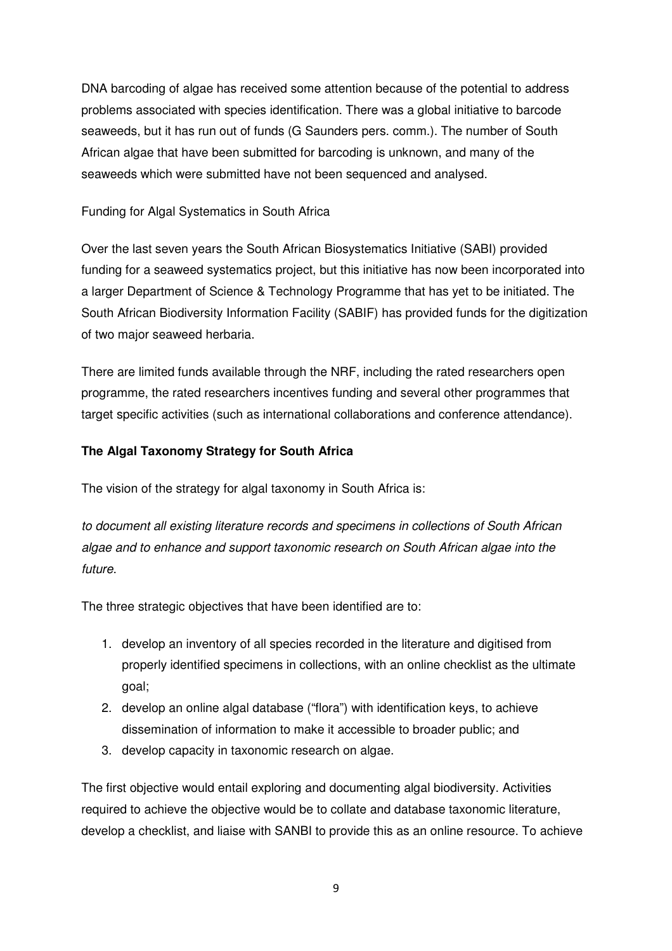DNA barcoding of algae has received some attention because of the potential to address problems associated with species identification. There was a global initiative to barcode seaweeds, but it has run out of funds (G Saunders pers. comm.). The number of South African algae that have been submitted for barcoding is unknown, and many of the seaweeds which were submitted have not been sequenced and analysed.

## Funding for Algal Systematics in South Africa

Over the last seven years the South African Biosystematics Initiative (SABI) provided funding for a seaweed systematics project, but this initiative has now been incorporated into a larger Department of Science & Technology Programme that has yet to be initiated. The South African Biodiversity Information Facility (SABIF) has provided funds for the digitization of two major seaweed herbaria.

There are limited funds available through the NRF, including the rated researchers open programme, the rated researchers incentives funding and several other programmes that target specific activities (such as international collaborations and conference attendance).

# **The Algal Taxonomy Strategy for South Africa**

The vision of the strategy for algal taxonomy in South Africa is:

to document all existing literature records and specimens in collections of South African algae and to enhance and support taxonomic research on South African algae into the future.

The three strategic objectives that have been identified are to:

- 1. develop an inventory of all species recorded in the literature and digitised from properly identified specimens in collections, with an online checklist as the ultimate goal;
- 2. develop an online algal database ("flora") with identification keys, to achieve dissemination of information to make it accessible to broader public; and
- 3. develop capacity in taxonomic research on algae.

The first objective would entail exploring and documenting algal biodiversity. Activities required to achieve the objective would be to collate and database taxonomic literature, develop a checklist, and liaise with SANBI to provide this as an online resource. To achieve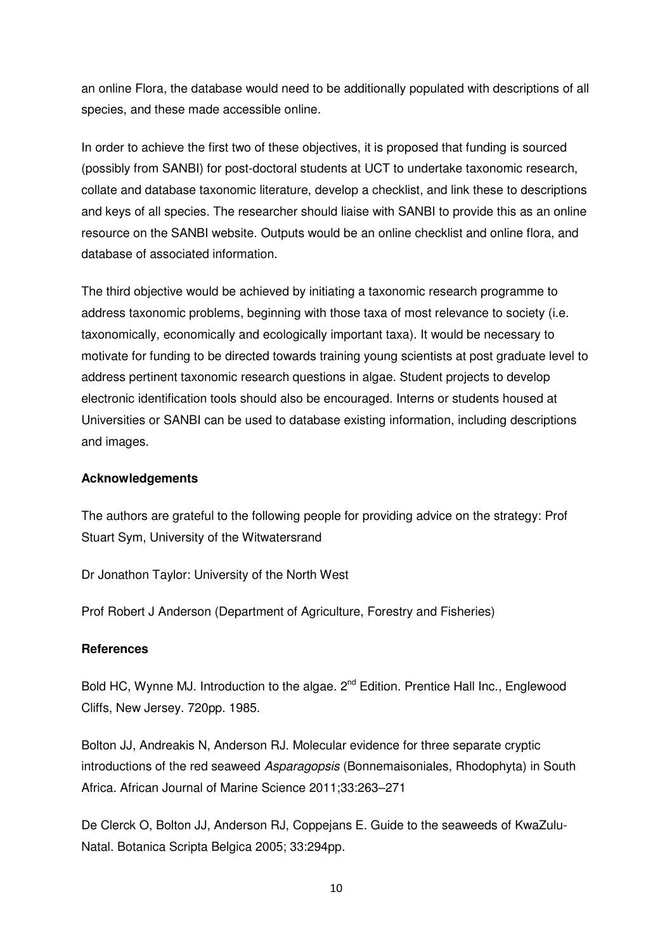an online Flora, the database would need to be additionally populated with descriptions of all species, and these made accessible online.

In order to achieve the first two of these objectives, it is proposed that funding is sourced (possibly from SANBI) for post-doctoral students at UCT to undertake taxonomic research, collate and database taxonomic literature, develop a checklist, and link these to descriptions and keys of all species. The researcher should liaise with SANBI to provide this as an online resource on the SANBI website. Outputs would be an online checklist and online flora, and database of associated information.

The third objective would be achieved by initiating a taxonomic research programme to address taxonomic problems, beginning with those taxa of most relevance to society (i.e. taxonomically, economically and ecologically important taxa). It would be necessary to motivate for funding to be directed towards training young scientists at post graduate level to address pertinent taxonomic research questions in algae. Student projects to develop electronic identification tools should also be encouraged. Interns or students housed at Universities or SANBI can be used to database existing information, including descriptions and images.

### **Acknowledgements**

The authors are grateful to the following people for providing advice on the strategy: Prof Stuart Sym, University of the Witwatersrand

Dr Jonathon Taylor: University of the North West

Prof Robert J Anderson (Department of Agriculture, Forestry and Fisheries)

### **References**

Bold HC, Wynne MJ. Introduction to the algae. 2<sup>nd</sup> Edition. Prentice Hall Inc., Englewood Cliffs, New Jersey. 720pp. 1985.

Bolton JJ, Andreakis N, Anderson RJ. Molecular evidence for three separate cryptic introductions of the red seaweed Asparagopsis (Bonnemaisoniales, Rhodophyta) in South Africa. African Journal of Marine Science 2011;33:263–271

De Clerck O, Bolton JJ, Anderson RJ, Coppejans E. Guide to the seaweeds of KwaZulu-Natal. Botanica Scripta Belgica 2005; 33:294pp.